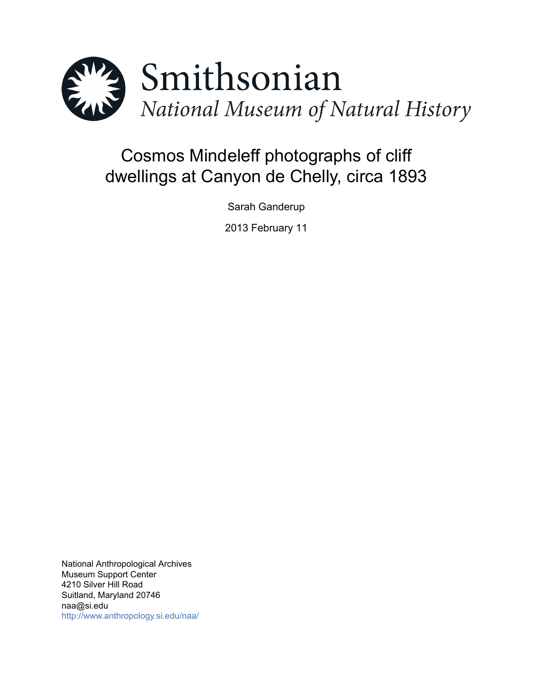

# Cosmos Mindeleff photographs of cliff dwellings at Canyon de Chelly, circa 1893

Sarah Ganderup

2013 February 11

National Anthropological Archives Museum Support Center 4210 Silver Hill Road Suitland, Maryland 20746 naa@si.edu <http://www.anthropology.si.edu/naa/>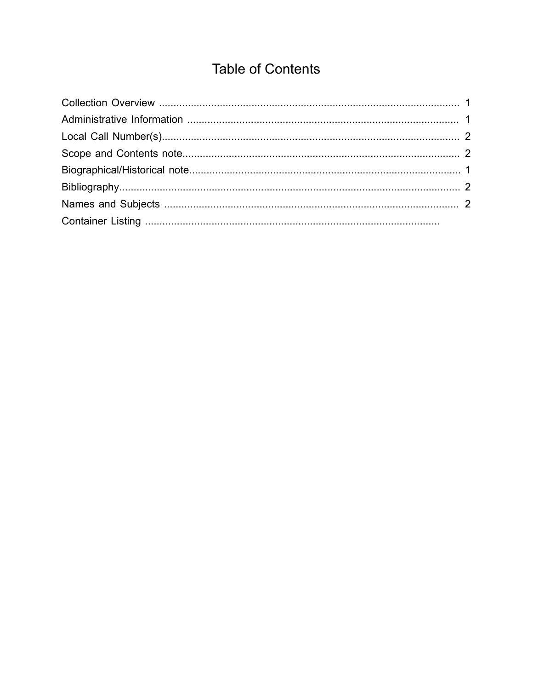## **Table of Contents**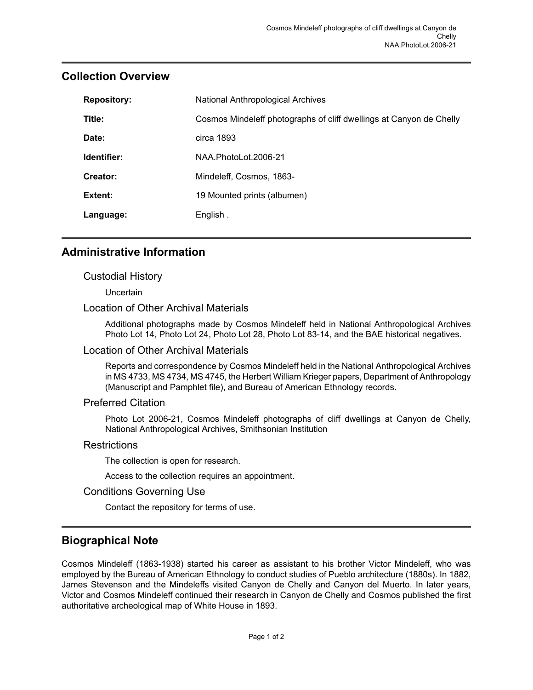| <b>Repository:</b> | National Anthropological Archives                                   |
|--------------------|---------------------------------------------------------------------|
| Title:             | Cosmos Mindeleff photographs of cliff dwellings at Canyon de Chelly |
| Date:              | circa 1893                                                          |
| Identifier:        | NAA PhotoLot 2006-21                                                |
| Creator:           | Mindeleff, Cosmos, 1863-                                            |
| Extent:            | 19 Mounted prints (albumen)                                         |
| Language:          | English.                                                            |

## <span id="page-2-0"></span>**Collection Overview**

## <span id="page-2-1"></span>**Administrative Information**

## Custodial History

**Uncertain** 

## Location of Other Archival Materials

Additional photographs made by Cosmos Mindeleff held in National Anthropological Archives Photo Lot 14, Photo Lot 24, Photo Lot 28, Photo Lot 83-14, and the BAE historical negatives.

#### Location of Other Archival Materials

Reports and correspondence by Cosmos Mindeleff held in the National Anthropological Archives in MS 4733, MS 4734, MS 4745, the Herbert William Krieger papers, Department of Anthropology (Manuscript and Pamphlet file), and Bureau of American Ethnology records.

#### Preferred Citation

Photo Lot 2006-21, Cosmos Mindeleff photographs of cliff dwellings at Canyon de Chelly, National Anthropological Archives, Smithsonian Institution

## **Restrictions**

The collection is open for research.

Access to the collection requires an appointment.

## Conditions Governing Use

Contact the repository for terms of use.

## <span id="page-2-2"></span>**Biographical Note**

Cosmos Mindeleff (1863-1938) started his career as assistant to his brother Victor Mindeleff, who was employed by the Bureau of American Ethnology to conduct studies of Pueblo architecture (1880s). In 1882, James Stevenson and the Mindeleffs visited Canyon de Chelly and Canyon del Muerto. In later years, Victor and Cosmos Mindeleff continued their research in Canyon de Chelly and Cosmos published the first authoritative archeological map of White House in 1893.